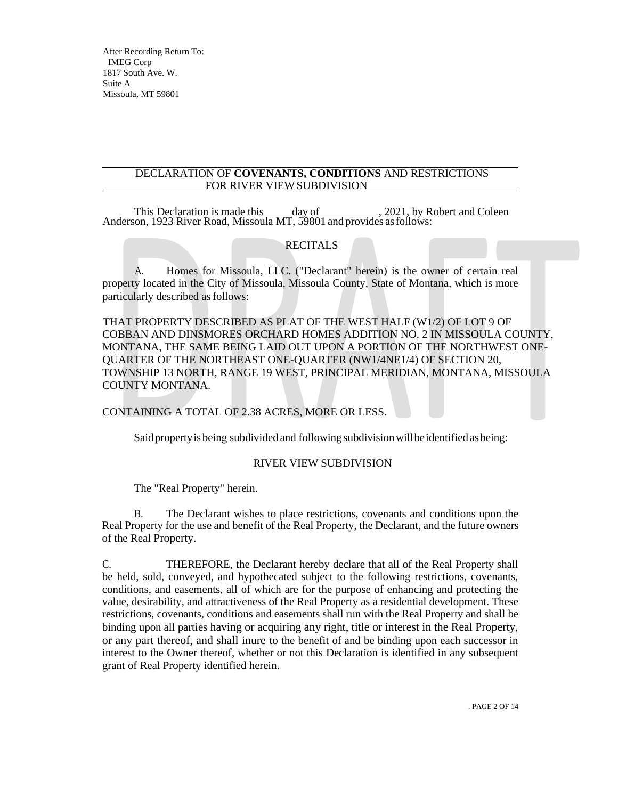### DECLARATION OF **COVENANTS, CONDITIONS** AND RESTRICTIONS FOR RIVER VIEW SUBDIVISION

This Declaration is made this day of , 2021, by Robert and Coleen Anderson, 1923 River Road, Missoula MT, 59801 and provides as follows:

# **RECITALS**

A. Homes for Missoula, LLC. ("Declarant" herein) is the owner of certain real property located in the City of Missoula, Missoula County, State of Montana, which is more particularly described as follows:

THAT PROPERTY DESCRIBED AS PLAT OF THE WEST HALF (W1/2) OF LOT 9 OF COBBAN AND DINSMORES ORCHARD HOMES ADDITION NO. 2 IN MISSOULA COUNTY, MONTANA, THE SAME BEING LAID OUT UPON A PORTION OF THE NORTHWEST ONE-QUARTER OF THE NORTHEAST ONE-QUARTER (NW1/4NE1/4) OF SECTION 20, TOWNSHIP 13 NORTH, RANGE 19 WEST, PRINCIPAL MERIDIAN, MONTANA, MISSOULA COUNTY MONTANA.

CONTAINING A TOTAL OF 2.38 ACRES, MORE OR LESS.

Said property is being subdivided and following subdivision will be identified as being:

## RIVER VIEW SUBDIVISION

The "Real Property" herein.

B. The Declarant wishes to place restrictions, covenants and conditions upon the Real Property for the use and benefit of the Real Property, the Declarant, and the future owners of the Real Property.

C. THEREFORE, the Declarant hereby declare that all of the Real Property shall be held, sold, conveyed, and hypothecated subject to the following restrictions, covenants, conditions, and easements, all of which are for the purpose of enhancing and protecting the value, desirability, and attractiveness of the Real Property as a residential development. These restrictions, covenants, conditions and easements shall run with the Real Property and shall be binding upon all parties having or acquiring any right, title or interest in the Real Property, or any part thereof, and shall inure to the benefit of and be binding upon each successor in interest to the Owner thereof, whether or not this Declaration is identified in any subsequent grant of Real Property identified herein.

. PAGE 2 OF 14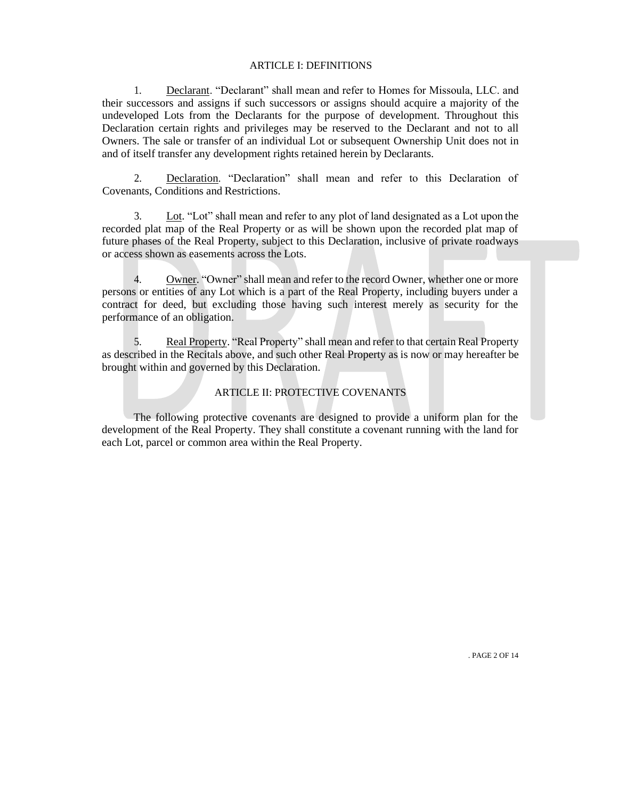#### ARTICLE I: DEFINITIONS

1. Declarant. "Declarant" shall mean and refer to Homes for Missoula, LLC. and their successors and assigns if such successors or assigns should acquire a majority of the undeveloped Lots from the Declarants for the purpose of development. Throughout this Declaration certain rights and privileges may be reserved to the Declarant and not to all Owners. The sale or transfer of an individual Lot or subsequent Ownership Unit does not in and of itself transfer any development rights retained herein by Declarants.

2. Declaration. "Declaration" shall mean and refer to this Declaration of Covenants, Conditions and Restrictions.

3. Lot. "Lot" shall mean and refer to any plot of land designated as a Lot upon the recorded plat map of the Real Property or as will be shown upon the recorded plat map of future phases of the Real Property, subject to this Declaration, inclusive of private roadways or access shown as easements across the Lots.

4. Owner. "Owner" shall mean and refer to the record Owner, whether one or more persons or entities of any Lot which is a part of the Real Property, including buyers under a contract for deed, but excluding those having such interest merely as security for the performance of an obligation.

5. Real Property. "Real Property" shall mean and refer to that certain Real Property as described in the Recitals above, and such other Real Property as is now or may hereafter be brought within and governed by this Declaration.

### ARTICLE II: PROTECTIVE COVENANTS

The following protective covenants are designed to provide a uniform plan for the development of the Real Property. They shall constitute a covenant running with the land for each Lot, parcel or common area within the Real Property.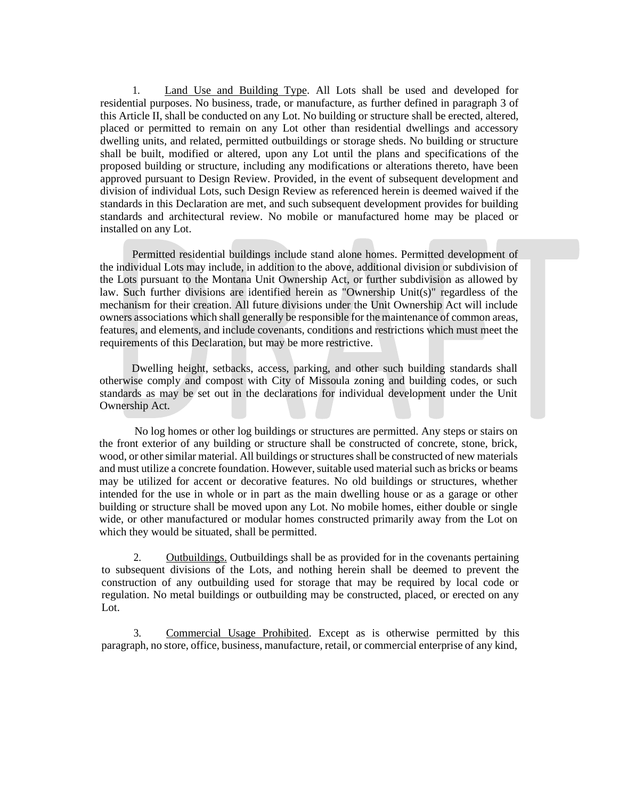1. Land Use and Building Type. All Lots shall be used and developed for residential purposes. No business, trade, or manufacture, as further defined in paragraph 3 of this Article II, shall be conducted on any Lot. No building or structure shall be erected, altered, placed or permitted to remain on any Lot other than residential dwellings and accessory dwelling units, and related, permitted outbuildings or storage sheds. No building or structure shall be built, modified or altered, upon any Lot until the plans and specifications of the proposed building or structure, including any modifications or alterations thereto, have been approved pursuant to Design Review. Provided, in the event of subsequent development and division of individual Lots, such Design Review as referenced herein is deemed waived if the standards in this Declaration are met, and such subsequent development provides for building standards and architectural review. No mobile or manufactured home may be placed or installed on any Lot.

Permitted residential buildings include stand alone homes. Permitted development of the individual Lots may include, in addition to the above, additional division or subdivision of the Lots pursuant to the Montana Unit Ownership Act, or further subdivision as allowed by law. Such further divisions are identified herein as "Ownership Unit(s)" regardless of the mechanism for their creation. All future divisions under the Unit Ownership Act will include owners associations which shall generally be responsible for the maintenance of common areas, features, and elements, and include covenants, conditions and restrictions which must meet the requirements of this Declaration, but may be more restrictive.

Dwelling height, setbacks, access, parking, and other such building standards shall otherwise comply and compost with City of Missoula zoning and building codes, or such standards as may be set out in the declarations for individual development under the Unit Ownership Act.

No log homes or other log buildings or structures are permitted. Any steps or stairs on the front exterior of any building or structure shall be constructed of concrete, stone, brick, wood, or other similar material. All buildings or structures shall be constructed of new materials and must utilize a concrete foundation. However,suitable used material such as bricks or beams may be utilized for accent or decorative features. No old buildings or structures, whether intended for the use in whole or in part as the main dwelling house or as a garage or other building or structure shall be moved upon any Lot. No mobile homes, either double or single wide, or other manufactured or modular homes constructed primarily away from the Lot on which they would be situated, shall be permitted.

2. Outbuildings. Outbuildings shall be as provided for in the covenants pertaining to subsequent divisions of the Lots, and nothing herein shall be deemed to prevent the construction of any outbuilding used for storage that may be required by local code or regulation. No metal buildings or outbuilding may be constructed, placed, or erected on any Lot.

3. Commercial Usage Prohibited. Except as is otherwise permitted by this paragraph, no store, office, business, manufacture, retail, or commercial enterprise of any kind,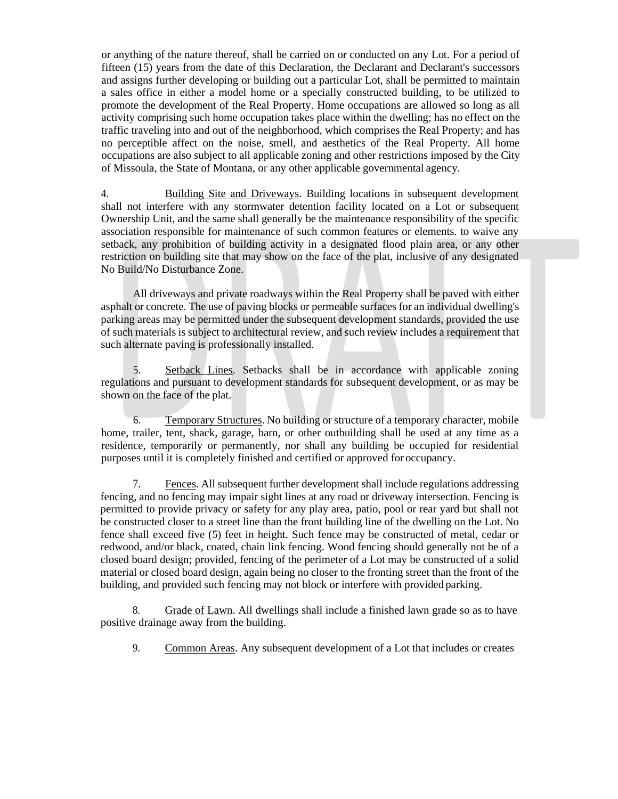or anything of the nature thereof, shall be carried on or conducted on any Lot. For a period of fifteen (15) years from the date of this Declaration, the Declarant and Declarant's successors and assigns further developing or building out a particular Lot, shall be permitted to maintain a sales office in either a model home or a specially constructed building, to be utilized to promote the development of the Real Property. Home occupations are allowed so long as all activity comprising such home occupation takes place within the dwelling; has no effect on the traffic traveling into and out of the neighborhood, which comprises the Real Property; and has no perceptible affect on the noise, smell, and aesthetics of the Real Property. All home occupations are also subject to all applicable zoning and other restrictions imposed by the City of Missoula, the State of Montana, or any other applicable governmental agency.

4. Building Site and Driveways. Building locations in subsequent development shall not interfere with any stormwater detention facility located on a Lot or subsequent Ownership Unit, and the same shall generally be the maintenance responsibility of the specific association responsible for maintenance of such common features or elements. to waive any setback, any prohibition of building activity in a designated flood plain area, or any other restriction on building site that may show on the face of the plat, inclusive of any designated No Build/No Disturbance Zone.

All driveways and private roadways within the Real Property shall be paved with either asphalt or concrete. The use of paving blocks or permeable surfaces for an individual dwelling's parking areas may be permitted under the subsequent development standards, provided the use of such materials is subject to architectural review, and such review includes a requirement that such alternate paving is professionally installed.

5. Setback Lines. Setbacks shall be in accordance with applicable zoning regulations and pursuant to development standards for subsequent development, or as may be shown on the face of the plat.

6. Temporary Structures. No building or structure of a temporary character, mobile home, trailer, tent, shack, garage, barn, or other outbuilding shall be used at any time as a residence, temporarily or permanently, nor shall any building be occupied for residential purposes until it is completely finished and certified or approved for occupancy.

7. Fences. All subsequent further development shall include regulations addressing fencing, and no fencing may impair sight lines at any road or driveway intersection. Fencing is permitted to provide privacy or safety for any play area, patio, pool or rear yard but shall not be constructed closer to a street line than the front building line of the dwelling on the Lot. No fence shall exceed five (5) feet in height. Such fence may be constructed of metal, cedar or redwood, and/or black, coated, chain link fencing. Wood fencing should generally not be of a closed board design; provided, fencing of the perimeter of a Lot may be constructed of a solid material or closed board design, again being no closer to the fronting street than the front of the building, and provided such fencing may not block or interfere with provided parking.

8. Grade of Lawn. All dwellings shall include a finished lawn grade so as to have positive drainage away from the building.

9. Common Areas. Any subsequent development of a Lot that includes or creates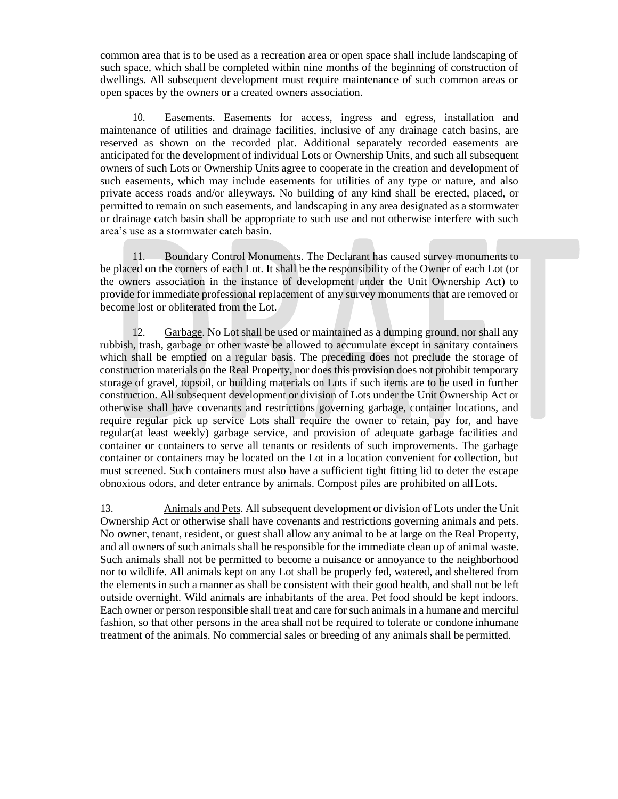common area that is to be used as a recreation area or open space shall include landscaping of such space, which shall be completed within nine months of the beginning of construction of dwellings. All subsequent development must require maintenance of such common areas or open spaces by the owners or a created owners association.

10. Easements. Easements for access, ingress and egress, installation and maintenance of utilities and drainage facilities, inclusive of any drainage catch basins, are reserved as shown on the recorded plat. Additional separately recorded easements are anticipated for the development of individual Lots or Ownership Units, and such all subsequent owners of such Lots or Ownership Units agree to cooperate in the creation and development of such easements, which may include easements for utilities of any type or nature, and also private access roads and/or alleyways. No building of any kind shall be erected, placed, or permitted to remain on such easements, and landscaping in any area designated as a stormwater or drainage catch basin shall be appropriate to such use and not otherwise interfere with such area's use as a stormwater catch basin.

11. Boundary Control Monuments. The Declarant has caused survey monuments to be placed on the corners of each Lot. It shall be the responsibility of the Owner of each Lot (or the owners association in the instance of development under the Unit Ownership Act) to provide for immediate professional replacement of any survey monuments that are removed or become lost or obliterated from the Lot.

12. Garbage. No Lot shall be used or maintained as a dumping ground, nor shall any rubbish, trash, garbage or other waste be allowed to accumulate except in sanitary containers which shall be emptied on a regular basis. The preceding does not preclude the storage of construction materials on the Real Property, nor does this provision does not prohibit temporary storage of gravel, topsoil, or building materials on Lots if such items are to be used in further construction. All subsequent development or division of Lots under the Unit Ownership Act or otherwise shall have covenants and restrictions governing garbage, container locations, and require regular pick up service Lots shall require the owner to retain, pay for, and have regular(at least weekly) garbage service, and provision of adequate garbage facilities and container or containers to serve all tenants or residents of such improvements. The garbage container or containers may be located on the Lot in a location convenient for collection, but must screened. Such containers must also have a sufficient tight fitting lid to deter the escape obnoxious odors, and deter entrance by animals. Compost piles are prohibited on allLots.

13. Animals and Pets. All subsequent development or division of Lots under the Unit Ownership Act or otherwise shall have covenants and restrictions governing animals and pets. No owner, tenant, resident, or guest shall allow any animal to be at large on the Real Property, and all owners of such animals shall be responsible for the immediate clean up of animal waste. Such animals shall not be permitted to become a nuisance or annoyance to the neighborhood nor to wildlife. All animals kept on any Lot shall be properly fed, watered, and sheltered from the elements in such a manner as shall be consistent with their good health, and shall not be left outside overnight. Wild animals are inhabitants of the area. Pet food should be kept indoors. Each owner or person responsible shall treat and care forsuch animalsin a humane and merciful fashion, so that other persons in the area shall not be required to tolerate or condone inhumane treatment of the animals. No commercial sales or breeding of any animals shall be permitted.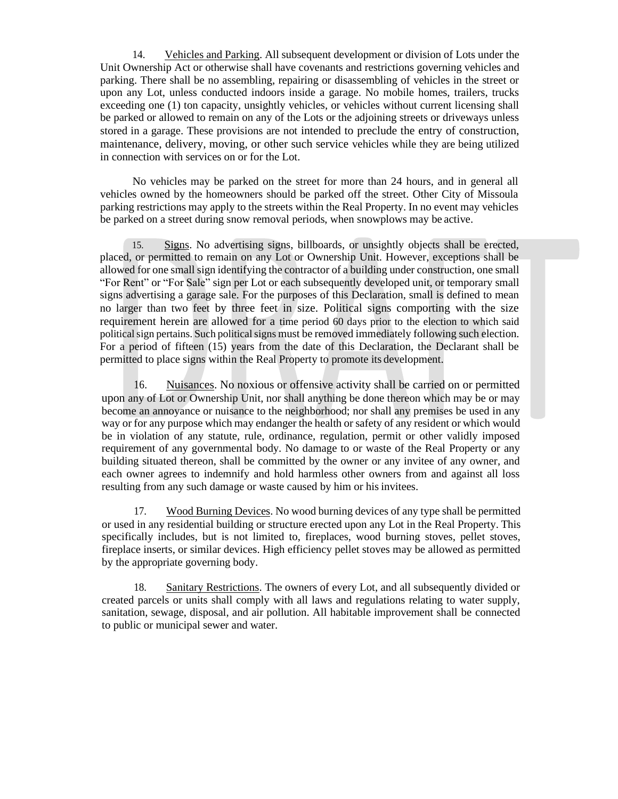14. Vehicles and Parking. All subsequent development or division of Lots under the Unit Ownership Act or otherwise shall have covenants and restrictions governing vehicles and parking. There shall be no assembling, repairing or disassembling of vehicles in the street or upon any Lot, unless conducted indoors inside a garage. No mobile homes, trailers, trucks exceeding one (1) ton capacity, unsightly vehicles, or vehicles without current licensing shall be parked or allowed to remain on any of the Lots or the adjoining streets or driveways unless stored in a garage. These provisions are not intended to preclude the entry of construction, maintenance, delivery, moving, or other such service vehicles while they are being utilized in connection with services on or for the Lot.

No vehicles may be parked on the street for more than 24 hours, and in general all vehicles owned by the homeowners should be parked off the street. Other City of Missoula parking restrictions may apply to the streets within the Real Property. In no event may vehicles be parked on a street during snow removal periods, when snowplows may be active.

15. Signs. No advertising signs, billboards, or unsightly objects shall be erected, placed, or permitted to remain on any Lot or Ownership Unit. However, exceptions shall be allowed for one small sign identifying the contractor of a building under construction, one small "For Rent" or "For Sale" sign per Lot or each subsequently developed unit, or temporary small signs advertising a garage sale. For the purposes of this Declaration, small is defined to mean no larger than two feet by three feet in size. Political signs comporting with the size requirement herein are allowed for a time period 60 days prior to the election to which said political sign pertains. Such political signs must be removed immediately following such election. For a period of fifteen (15) years from the date of this Declaration, the Declarant shall be permitted to place signs within the Real Property to promote its development.

16. Nuisances. No noxious or offensive activity shall be carried on or permitted upon any of Lot or Ownership Unit, nor shall anything be done thereon which may be or may become an annoyance or nuisance to the neighborhood; nor shall any premises be used in any way or for any purpose which may endanger the health or safety of any resident or which would be in violation of any statute, rule, ordinance, regulation, permit or other validly imposed requirement of any governmental body. No damage to or waste of the Real Property or any building situated thereon, shall be committed by the owner or any invitee of any owner, and each owner agrees to indemnify and hold harmless other owners from and against all loss resulting from any such damage or waste caused by him or his invitees.

17. Wood Burning Devices. No wood burning devices of any type shall be permitted or used in any residential building or structure erected upon any Lot in the Real Property. This specifically includes, but is not limited to, fireplaces, wood burning stoves, pellet stoves, fireplace inserts, or similar devices. High efficiency pellet stoves may be allowed as permitted by the appropriate governing body.

18. Sanitary Restrictions. The owners of every Lot, and all subsequently divided or created parcels or units shall comply with all laws and regulations relating to water supply, sanitation, sewage, disposal, and air pollution. All habitable improvement shall be connected to public or municipal sewer and water.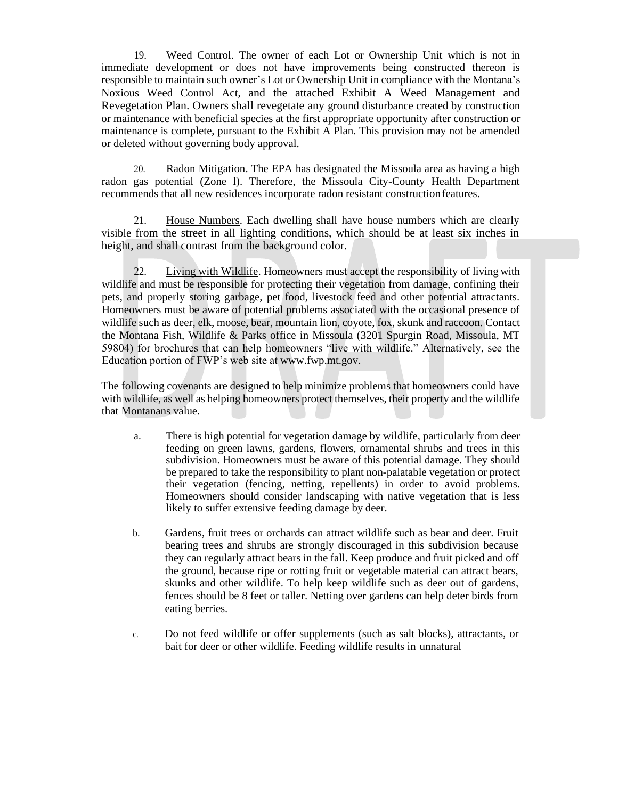19. Weed Control. The owner of each Lot or Ownership Unit which is not in immediate development or does not have improvements being constructed thereon is responsible to maintain such owner's Lot or Ownership Unit in compliance with the Montana's Noxious Weed Control Act, and the attached Exhibit A Weed Management and Revegetation Plan. Owners shall revegetate any ground disturbance created by construction or maintenance with beneficial species at the first appropriate opportunity after construction or maintenance is complete, pursuant to the Exhibit A Plan. This provision may not be amended or deleted without governing body approval.

20. Radon Mitigation. The EPA has designated the Missoula area as having a high radon gas potential (Zone l). Therefore, the Missoula City-County Health Department recommends that all new residences incorporate radon resistant construction features.

21. House Numbers. Each dwelling shall have house numbers which are clearly visible from the street in all lighting conditions, which should be at least six inches in height, and shall contrast from the background color.

22. Living with Wildlife. Homeowners must accept the responsibility of living with wildlife and must be responsible for protecting their vegetation from damage, confining their pets, and properly storing garbage, pet food, livestock feed and other potential attractants. Homeowners must be aware of potential problems associated with the occasional presence of wildlife such as deer, elk, moose, bear, mountain lion, coyote, fox, skunk and raccoon. Contact the Montana Fish, Wildlife & Parks office in Missoula (3201 Spurgin Road, Missoula, MT 59804) for brochures that can help homeowners "live with wildlife." Alternatively, see the Education portion of FWP's web site at [www.fwp.mt.gov.](http://www.fwp.mt.gov/)

The following covenants are designed to help minimize problems that homeowners could have with wildlife, as well as helping homeowners protect themselves, their property and the wildlife that Montanans value.

- a. There is high potential for vegetation damage by wildlife, particularly from deer feeding on green lawns, gardens, flowers, ornamental shrubs and trees in this subdivision. Homeowners must be aware of this potential damage. They should be prepared to take the responsibility to plant non-palatable vegetation or protect their vegetation (fencing, netting, repellents) in order to avoid problems. Homeowners should consider landscaping with native vegetation that is less likely to suffer extensive feeding damage by deer.
- b. Gardens, fruit trees or orchards can attract wildlife such as bear and deer. Fruit bearing trees and shrubs are strongly discouraged in this subdivision because they can regularly attract bears in the fall. Keep produce and fruit picked and off the ground, because ripe or rotting fruit or vegetable material can attract bears, skunks and other wildlife. To help keep wildlife such as deer out of gardens, fences should be 8 feet or taller. Netting over gardens can help deter birds from eating berries.
- c. Do not feed wildlife or offer supplements (such as salt blocks), attractants, or bait for deer or other wildlife. Feeding wildlife results in unnatural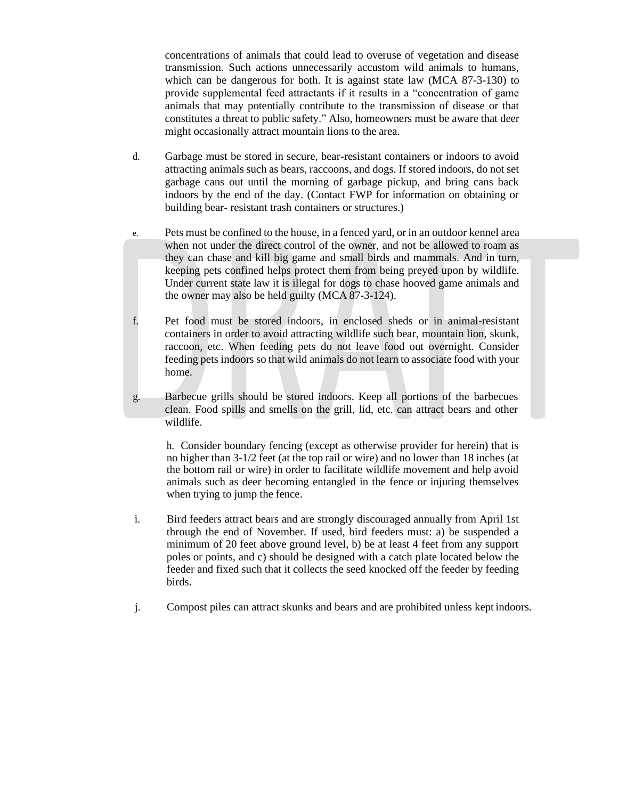concentrations of animals that could lead to overuse of vegetation and disease transmission. Such actions unnecessarily accustom wild animals to humans, which can be dangerous for both. It is against state law (MCA 87-3-130) to provide supplemental feed attractants if it results in a "concentration of game animals that may potentially contribute to the transmission of disease or that constitutes a threat to public safety." Also, homeowners must be aware that deer might occasionally attract mountain lions to the area.

- d. Garbage must be stored in secure, bear-resistant containers or indoors to avoid attracting animals such as bears, raccoons, and dogs. If stored indoors, do not set garbage cans out until the morning of garbage pickup, and bring cans back indoors by the end of the day. (Contact FWP for information on obtaining or building bear- resistant trash containers or structures.)
- e. Pets must be confined to the house, in a fenced yard, or in an outdoor kennel area when not under the direct control of the owner, and not be allowed to roam as they can chase and kill big game and small birds and mammals. And in turn, keeping pets confined helps protect them from being preyed upon by wildlife. Under current state law it is illegal for dogs to chase hooved game animals and the owner may also be held guilty (MCA 87-3-124).
- f. Pet food must be stored indoors, in enclosed sheds or in animal-resistant containers in order to avoid attracting wildlife such bear, mountain lion, skunk, raccoon, etc. When feeding pets do not leave food out overnight. Consider feeding pets indoors so that wild animals do not learn to associate food with your home.
- g. Barbecue grills should be stored indoors. Keep all portions of the barbecues clean. Food spills and smells on the grill, lid, etc. can attract bears and other wildlife.

h. Consider boundary fencing (except as otherwise provider for herein) that is no higher than 3-1/2 feet (at the top rail or wire) and no lower than 18 inches (at the bottom rail or wire) in order to facilitate wildlife movement and help avoid animals such as deer becoming entangled in the fence or injuring themselves when trying to jump the fence.

- i. Bird feeders attract bears and are strongly discouraged annually from April 1st through the end of November. If used, bird feeders must: a) be suspended a minimum of 20 feet above ground level, b) be at least 4 feet from any support poles or points, and c) should be designed with a catch plate located below the feeder and fixed such that it collects the seed knocked off the feeder by feeding birds.
- j. Compost piles can attract skunks and bears and are prohibited unless kept indoors.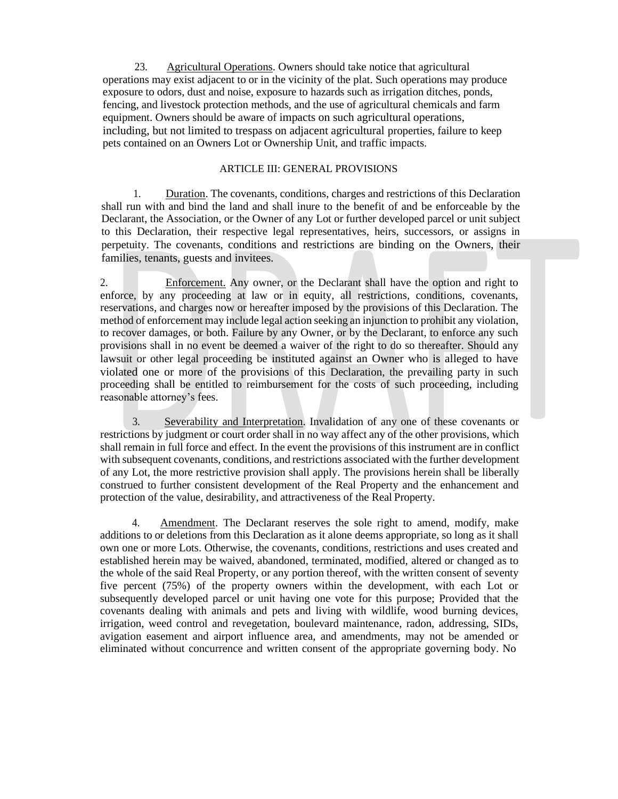23. Agricultural Operations. Owners should take notice that agricultural operations may exist adjacent to or in the vicinity of the plat. Such operations may produce exposure to odors, dust and noise, exposure to hazards such as irrigation ditches, ponds, fencing, and livestock protection methods, and the use of agricultural chemicals and farm equipment. Owners should be aware of impacts on such agricultural operations, including, but not limited to trespass on adjacent agricultural properties, failure to keep pets contained on an Owners Lot or Ownership Unit, and traffic impacts.

## ARTICLE III: GENERAL PROVISIONS

1. Duration. The covenants, conditions, charges and restrictions of this Declaration shall run with and bind the land and shall inure to the benefit of and be enforceable by the Declarant, the Association, or the Owner of any Lot or further developed parcel or unit subject to this Declaration, their respective legal representatives, heirs, successors, or assigns in perpetuity. The covenants, conditions and restrictions are binding on the Owners, their families, tenants, guests and invitees.

2. Enforcement. Any owner, or the Declarant shall have the option and right to enforce, by any proceeding at law or in equity, all restrictions, conditions, covenants, reservations, and charges now or hereafter imposed by the provisions of this Declaration. The method of enforcement may include legal action seeking an injunction to prohibit any violation, to recover damages, or both. Failure by any Owner, or by the Declarant, to enforce any such provisions shall in no event be deemed a waiver of the right to do so thereafter. Should any lawsuit or other legal proceeding be instituted against an Owner who is alleged to have violated one or more of the provisions of this Declaration, the prevailing party in such proceeding shall be entitled to reimbursement for the costs of such proceeding, including reasonable attorney's fees.

3. Severability and Interpretation. Invalidation of any one of these covenants or restrictions by judgment or court order shall in no way affect any of the other provisions, which shall remain in full force and effect. In the event the provisions of this instrument are in conflict with subsequent covenants, conditions, and restrictions associated with the further development of any Lot, the more restrictive provision shall apply. The provisions herein shall be liberally construed to further consistent development of the Real Property and the enhancement and protection of the value, desirability, and attractiveness of the Real Property.

4. Amendment. The Declarant reserves the sole right to amend, modify, make additions to or deletions from this Declaration as it alone deems appropriate, so long as it shall own one or more Lots. Otherwise, the covenants, conditions, restrictions and uses created and established herein may be waived, abandoned, terminated, modified, altered or changed as to the whole of the said Real Property, or any portion thereof, with the written consent of seventy five percent (75%) of the property owners within the development, with each Lot or subsequently developed parcel or unit having one vote for this purpose; Provided that the covenants dealing with animals and pets and living with wildlife, wood burning devices, irrigation, weed control and revegetation, boulevard maintenance, radon, addressing, SIDs, avigation easement and airport influence area, and amendments, may not be amended or eliminated without concurrence and written consent of the appropriate governing body. No